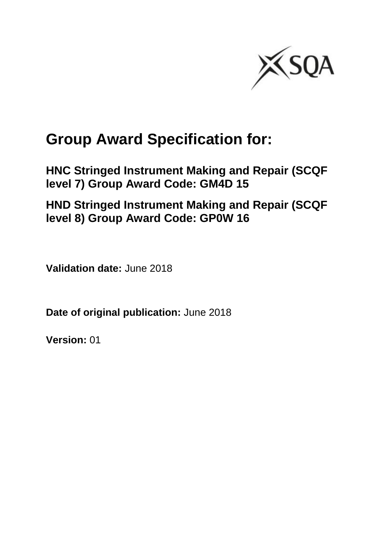

# **Group Award Specification for:**

**HNC Stringed Instrument Making and Repair (SCQF level 7) Group Award Code: GM4D 15**

**HND Stringed Instrument Making and Repair (SCQF level 8) Group Award Code: GP0W 16**

**Validation date:** June 2018

**Date of original publication:** June 2018

**Version:** 01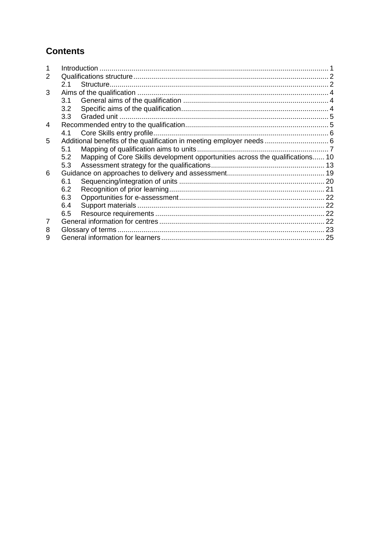## **Contents**

| 2 |     |                                                                               |  |
|---|-----|-------------------------------------------------------------------------------|--|
|   | 2.1 |                                                                               |  |
| 3 |     |                                                                               |  |
|   | 3.1 |                                                                               |  |
|   | 3.2 |                                                                               |  |
|   | 3.3 |                                                                               |  |
| 4 |     |                                                                               |  |
|   | 4.1 |                                                                               |  |
| 5 |     |                                                                               |  |
|   | 5.1 |                                                                               |  |
|   | 5.2 | Mapping of Core Skills development opportunities across the qualifications 10 |  |
|   | 5.3 |                                                                               |  |
| 6 |     |                                                                               |  |
|   | 6.1 |                                                                               |  |
|   | 6.2 |                                                                               |  |
|   | 6.3 |                                                                               |  |
|   | 6.4 |                                                                               |  |
|   | 6.5 |                                                                               |  |
| 7 |     |                                                                               |  |
| 8 |     |                                                                               |  |
| 9 |     |                                                                               |  |
|   |     |                                                                               |  |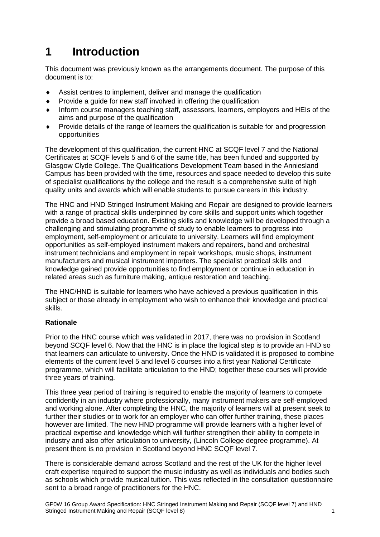## <span id="page-2-0"></span>**1 Introduction**

This document was previously known as the arrangements document. The purpose of this document is to:

- Assist centres to implement, deliver and manage the qualification
- Provide a guide for new staff involved in offering the qualification
- Inform course managers teaching staff, assessors, learners, employers and HEIs of the aims and purpose of the qualification
- Provide details of the range of learners the qualification is suitable for and progression opportunities

The development of this qualification, the current HNC at SCQF level 7 and the National Certificates at SCQF levels 5 and 6 of the same title, has been funded and supported by Glasgow Clyde College. The Qualifications Development Team based in the Anniesland Campus has been provided with the time, resources and space needed to develop this suite of specialist qualifications by the college and the result is a comprehensive suite of high quality units and awards which will enable students to pursue careers in this industry.

The HNC and HND Stringed Instrument Making and Repair are designed to provide learners with a range of practical skills underpinned by core skills and support units which together provide a broad based education. Existing skills and knowledge will be developed through a challenging and stimulating programme of study to enable learners to progress into employment, self-employment or articulate to university. Learners will find employment opportunities as self-employed instrument makers and repairers, band and orchestral instrument technicians and employment in repair workshops, music shops, instrument manufacturers and musical instrument importers. The specialist practical skills and knowledge gained provide opportunities to find employment or continue in education in related areas such as furniture making, antique restoration and teaching.

The HNC/HND is suitable for learners who have achieved a previous qualification in this subject or those already in employment who wish to enhance their knowledge and practical skills.

#### **Rationale**

Prior to the HNC course which was validated in 2017, there was no provision in Scotland beyond SCQF level 6. Now that the HNC is in place the logical step is to provide an HND so that learners can articulate to university. Once the HND is validated it is proposed to combine elements of the current level 5 and level 6 courses into a first year National Certificate programme, which will facilitate articulation to the HND; together these courses will provide three years of training.

This three year period of training is required to enable the majority of learners to compete confidently in an industry where professionally, many instrument makers are self-employed and working alone. After completing the HNC, the majority of learners will at present seek to further their studies or to work for an employer who can offer further training, these places however are limited. The new HND programme will provide learners with a higher level of practical expertise and knowledge which will further strengthen their ability to compete in industry and also offer articulation to university, (Lincoln College degree programme). At present there is no provision in Scotland beyond HNC SCQF level 7.

There is considerable demand across Scotland and the rest of the UK for the higher level craft expertise required to support the music industry as well as individuals and bodies such as schools which provide musical tuition. This was reflected in the consultation questionnaire sent to a broad range of practitioners for the HNC.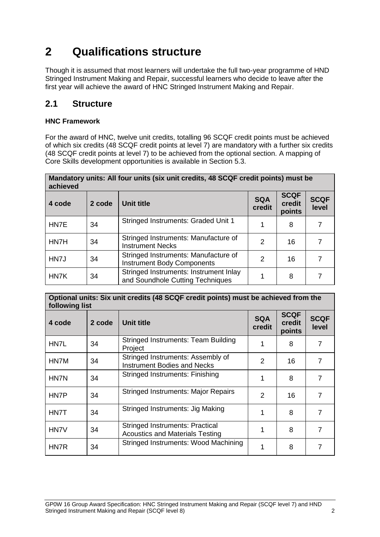## <span id="page-3-0"></span>**2 Qualifications structure**

Though it is assumed that most learners will undertake the full two-year programme of HND Stringed Instrument Making and Repair, successful learners who decide to leave after the first year will achieve the award of HNC Stringed Instrument Making and Repair.

### <span id="page-3-1"></span>**2.1 Structure**

#### **HNC Framework**

For the award of HNC, twelve unit credits, totalling 96 SCQF credit points must be achieved of which six credits (48 SCQF credit points at level 7) are mandatory with a further six credits (48 SCQF credit points at level 7) to be achieved from the optional section. A mapping of Core Skills development opportunities is available in Section 5.3.

| Mandatory units: All four units (six unit credits, 48 SCQF credit points) must be<br>achieved |        |                                                                            |                      |                                 |                      |  |  |  |  |  |  |  |
|-----------------------------------------------------------------------------------------------|--------|----------------------------------------------------------------------------|----------------------|---------------------------------|----------------------|--|--|--|--|--|--|--|
| 4 code                                                                                        | 2 code | <b>Unit title</b>                                                          | <b>SQA</b><br>credit | <b>SCQF</b><br>credit<br>points | <b>SCQF</b><br>level |  |  |  |  |  |  |  |
| HN7E                                                                                          | 34     | Stringed Instruments: Graded Unit 1                                        |                      | 8                               |                      |  |  |  |  |  |  |  |
| HN7H                                                                                          | 34     | Stringed Instruments: Manufacture of<br><b>Instrument Necks</b>            | $\mathcal{P}$        | 16                              |                      |  |  |  |  |  |  |  |
| HN7J                                                                                          | 34     | Stringed Instruments: Manufacture of<br><b>Instrument Body Components</b>  | $\mathcal{P}$        | 16                              |                      |  |  |  |  |  |  |  |
| HN7K                                                                                          | 34     | Stringed Instruments: Instrument Inlay<br>and Soundhole Cutting Techniques | 1                    | 8                               |                      |  |  |  |  |  |  |  |

#### **Optional units: Six unit credits (48 SCQF credit points) must be achieved from the following list**

| <b>IDIIOWIIIY IIJL</b> |        |                                                                                  |                      |                                 |                      |
|------------------------|--------|----------------------------------------------------------------------------------|----------------------|---------------------------------|----------------------|
| 4 code                 | 2 code | Unit title                                                                       | <b>SQA</b><br>credit | <b>SCQF</b><br>credit<br>points | <b>SCQF</b><br>level |
| HN7L                   | 34     | <b>Stringed Instruments: Team Building</b><br>Project                            |                      | 8                               |                      |
| HN7M                   | 34     | Stringed Instruments: Assembly of<br><b>Instrument Bodies and Necks</b>          | 2                    | 16                              |                      |
| HN7N                   | 34     | Stringed Instruments: Finishing                                                  |                      | 8                               | 7                    |
| HN7P                   | 34     | <b>Stringed Instruments: Major Repairs</b>                                       | 2                    | 16                              | 7                    |
| HN7T                   | 34     | Stringed Instruments: Jig Making                                                 |                      | 8                               | 7                    |
| HN7V                   | 34     | <b>Stringed Instruments: Practical</b><br><b>Acoustics and Materials Testing</b> |                      | 8                               | 7                    |
| HN7R                   | 34     | Stringed Instruments: Wood Machining                                             |                      | 8                               |                      |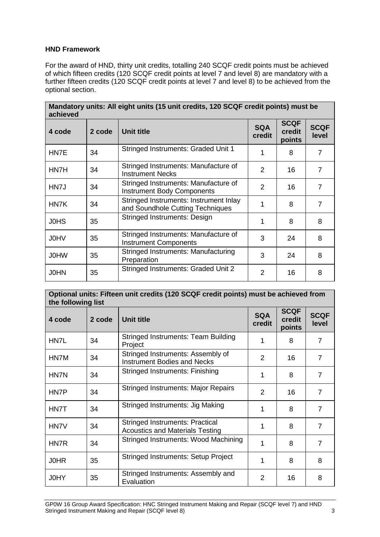#### **HND Framework**

For the award of HND, thirty unit credits, totalling 240 SCQF credit points must be achieved of which fifteen credits (120 SCQF credit points at level 7 and level 8) are mandatory with a further fifteen credits (120 SCQF credit points at level 7 and level 8) to be achieved from the optional section.

| Mandatory units: All eight units (15 unit credits, 120 SCQF credit points) must be<br>achieved |        |                                                                            |                      |                                 |                      |  |  |  |  |  |  |  |
|------------------------------------------------------------------------------------------------|--------|----------------------------------------------------------------------------|----------------------|---------------------------------|----------------------|--|--|--|--|--|--|--|
| 4 code                                                                                         | 2 code | Unit title                                                                 | <b>SQA</b><br>credit | <b>SCQF</b><br>credit<br>points | <b>SCQF</b><br>level |  |  |  |  |  |  |  |
| HN7E                                                                                           | 34     | Stringed Instruments: Graded Unit 1                                        |                      | 8                               | 7                    |  |  |  |  |  |  |  |
| HN7H                                                                                           | 34     | Stringed Instruments: Manufacture of<br><b>Instrument Necks</b>            | 2                    | 16                              | 7                    |  |  |  |  |  |  |  |
| HN7J                                                                                           | 34     | Stringed Instruments: Manufacture of<br><b>Instrument Body Components</b>  | 2                    | 16                              | 7                    |  |  |  |  |  |  |  |
| HN7K                                                                                           | 34     | Stringed Instruments: Instrument Inlay<br>and Soundhole Cutting Techniques | 1                    | 8                               | 7                    |  |  |  |  |  |  |  |
| <b>JOHS</b>                                                                                    | 35     | Stringed Instruments: Design                                               | 1                    | 8                               | 8                    |  |  |  |  |  |  |  |
| <b>JOHV</b>                                                                                    | 35     | Stringed Instruments: Manufacture of<br><b>Instrument Components</b>       | 3                    | 24                              | 8                    |  |  |  |  |  |  |  |
| <b>JOHW</b>                                                                                    | 35     | Stringed Instruments: Manufacturing<br>Preparation                         | 3                    | 24                              | 8                    |  |  |  |  |  |  |  |
| <b>JOHN</b>                                                                                    | 35     | Stringed Instruments: Graded Unit 2                                        | 2                    | 16                              | 8                    |  |  |  |  |  |  |  |

| Optional units: Fifteen unit credits (120 SCQF credit points) must be achieved from<br>the following list |        |                                                                                  |                      |                                 |                      |  |  |  |  |  |  |
|-----------------------------------------------------------------------------------------------------------|--------|----------------------------------------------------------------------------------|----------------------|---------------------------------|----------------------|--|--|--|--|--|--|
| 4 code                                                                                                    | 2 code | <b>Unit title</b>                                                                | <b>SQA</b><br>credit | <b>SCQF</b><br>credit<br>points | <b>SCQF</b><br>level |  |  |  |  |  |  |
| HN7L                                                                                                      | 34     | <b>Stringed Instruments: Team Building</b><br>Project                            |                      | 8                               | $\overline{7}$       |  |  |  |  |  |  |
| HN7M                                                                                                      | 34     | Stringed Instruments: Assembly of<br><b>Instrument Bodies and Necks</b>          | 2                    | 16                              |                      |  |  |  |  |  |  |
| HN7N                                                                                                      | 34     | Stringed Instruments: Finishing                                                  | 1                    | 8                               |                      |  |  |  |  |  |  |
| HN7P                                                                                                      | 34     | <b>Stringed Instruments: Major Repairs</b>                                       | $\overline{2}$       | $\overline{7}$                  |                      |  |  |  |  |  |  |
| HN7T                                                                                                      | 34     | Stringed Instruments: Jig Making                                                 |                      | 8                               | $\overline{7}$       |  |  |  |  |  |  |
| HN7V                                                                                                      | 34     | <b>Stringed Instruments: Practical</b><br><b>Acoustics and Materials Testing</b> | 1                    | 8                               | $\overline{7}$       |  |  |  |  |  |  |
| HN7R                                                                                                      | 34     | Stringed Instruments: Wood Machining                                             |                      | 8                               | $\overline{7}$       |  |  |  |  |  |  |
| <b>JOHR</b>                                                                                               | 35     | <b>Stringed Instruments: Setup Project</b>                                       |                      | 8                               | 8                    |  |  |  |  |  |  |
| J0HY                                                                                                      | 35     | Stringed Instruments: Assembly and<br>Evaluation                                 | $\overline{2}$       | 16                              | 8                    |  |  |  |  |  |  |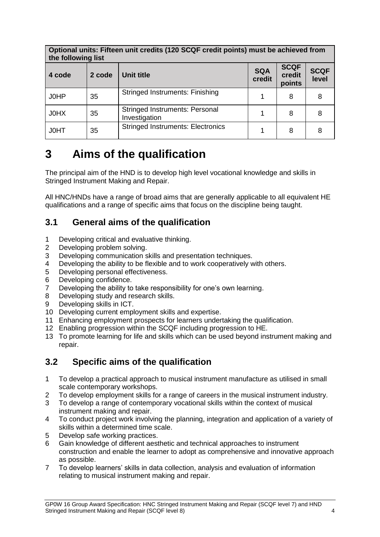#### **Optional units: Fifteen unit credits (120 SCQF credit points) must be achieved from the following list**

| <b>URE TOROWING HSL</b> |        |                                                        |                      |                                 |                      |
|-------------------------|--------|--------------------------------------------------------|----------------------|---------------------------------|----------------------|
| 4 code                  | 2 code | Unit title                                             | <b>SQA</b><br>credit | <b>SCQF</b><br>credit<br>points | <b>SCQF</b><br>level |
| J0HP                    | 35     | <b>Stringed Instruments: Finishing</b>                 |                      | 8                               | 8                    |
| J0HX                    | 35     | <b>Stringed Instruments: Personal</b><br>Investigation |                      | 8                               | 8                    |
| <b>JOHT</b>             | 35     | <b>Stringed Instruments: Electronics</b>               |                      | 8                               | 8                    |

## <span id="page-5-0"></span>**3 Aims of the qualification**

The principal aim of the HND is to develop high level vocational knowledge and skills in Stringed Instrument Making and Repair.

All HNC/HNDs have a range of broad aims that are generally applicable to all equivalent HE qualifications and a range of specific aims that focus on the discipline being taught.

### <span id="page-5-1"></span>**3.1 General aims of the qualification**

- 1 Developing critical and evaluative thinking.
- 2 Developing problem solving.
- 3 Developing communication skills and presentation techniques.
- 4 Developing the ability to be flexible and to work cooperatively with others.
- 5 Developing personal effectiveness.
- 6 Developing confidence.
- 7 Developing the ability to take responsibility for one's own learning.
- 8 Developing study and research skills.
- 9 Developing skills in ICT.
- 10 Developing current employment skills and expertise.
- 11 Enhancing employment prospects for learners undertaking the qualification.
- 12 Enabling progression within the SCQF including progression to HE.
- 13 To promote learning for life and skills which can be used beyond instrument making and repair.

## <span id="page-5-2"></span>**3.2 Specific aims of the qualification**

- 1 To develop a practical approach to musical instrument manufacture as utilised in small scale contemporary workshops.
- 2 To develop employment skills for a range of careers in the musical instrument industry.
- 3 To develop a range of contemporary vocational skills within the context of musical instrument making and repair.
- 4 To conduct project work involving the planning, integration and application of a variety of skills within a determined time scale.
- 5 Develop safe working practices.
- 6 Gain knowledge of different aesthetic and technical approaches to instrument construction and enable the learner to adopt as comprehensive and innovative approach as possible.
- 7 To develop learners' skills in data collection, analysis and evaluation of information relating to musical instrument making and repair.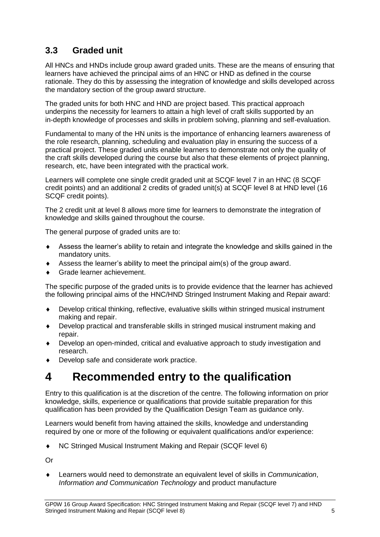## <span id="page-6-0"></span>**3.3 Graded unit**

All HNCs and HNDs include group award graded units. These are the means of ensuring that learners have achieved the principal aims of an HNC or HND as defined in the course rationale. They do this by assessing the integration of knowledge and skills developed across the mandatory section of the group award structure.

The graded units for both HNC and HND are project based. This practical approach underpins the necessity for learners to attain a high level of craft skills supported by an in-depth knowledge of processes and skills in problem solving, planning and self-evaluation.

Fundamental to many of the HN units is the importance of enhancing learners awareness of the role research, planning, scheduling and evaluation play in ensuring the success of a practical project. These graded units enable learners to demonstrate not only the quality of the craft skills developed during the course but also that these elements of project planning, research, etc, have been integrated with the practical work.

Learners will complete one single credit graded unit at SCQF level 7 in an HNC (8 SCQF credit points) and an additional 2 credits of graded unit(s) at SCQF level 8 at HND level (16 SCQF credit points).

The 2 credit unit at level 8 allows more time for learners to demonstrate the integration of knowledge and skills gained throughout the course.

The general purpose of graded units are to:

- Assess the learner's ability to retain and integrate the knowledge and skills gained in the mandatory units.
- Assess the learner's ability to meet the principal aim(s) of the group award.
- Grade learner achievement.

The specific purpose of the graded units is to provide evidence that the learner has achieved the following principal aims of the HNC/HND Stringed Instrument Making and Repair award:

- Develop critical thinking, reflective, evaluative skills within stringed musical instrument making and repair.
- Develop practical and transferable skills in stringed musical instrument making and repair.
- Develop an open-minded, critical and evaluative approach to study investigation and research.
- ◆ Develop safe and considerate work practice.

## <span id="page-6-1"></span>**4 Recommended entry to the qualification**

Entry to this qualification is at the discretion of the centre. The following information on prior knowledge, skills, experience or qualifications that provide suitable preparation for this qualification has been provided by the Qualification Design Team as guidance only.

Learners would benefit from having attained the skills, knowledge and understanding required by one or more of the following or equivalent qualifications and/or experience:

NC Stringed Musical Instrument Making and Repair (SCQF level 6)

Or

 Learners would need to demonstrate an equivalent level of skills in *Communication*, *Information and Communication Technology* and product manufacture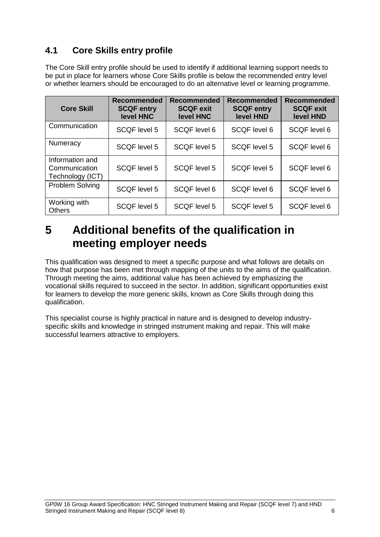## <span id="page-7-0"></span>**4.1 Core Skills entry profile**

The Core Skill entry profile should be used to identify if additional learning support needs to be put in place for learners whose Core Skills profile is below the recommended entry level or whether learners should be encouraged to do an alternative level or learning programme.

| <b>Core Skill</b>                                    | <b>Recommended</b><br><b>SCQF entry</b><br>level HNC | Recommended<br><b>SCQF exit</b><br>level HNC | <b>Recommended</b><br><b>SCQF entry</b><br>level HND | <b>Recommended</b><br><b>SCQF exit</b><br>level HND |
|------------------------------------------------------|------------------------------------------------------|----------------------------------------------|------------------------------------------------------|-----------------------------------------------------|
| Communication                                        | <b>SCQF level 5</b>                                  | SCQF level 6                                 | SCQF level 6                                         | <b>SCQF</b> level 6                                 |
| Numeracy                                             | <b>SCQF level 5</b>                                  | SCQF level 5                                 | SCQF level 5                                         | <b>SCQF level 6</b>                                 |
| Information and<br>Communication<br>Technology (ICT) | SCQF level 5                                         | SCQF level 5                                 | SCQF level 5                                         | <b>SCQF</b> level 6                                 |
| Problem Solving                                      | SCQF level 5                                         | SCQF level 6                                 | SCQF level 6                                         | <b>SCQF level 6</b>                                 |
| Working with<br><b>Others</b>                        | <b>SCQF level 5</b>                                  | <b>SCQF</b> level 5                          | SCQF level 5                                         | <b>SCQF</b> level 6                                 |

## <span id="page-7-1"></span>**5 Additional benefits of the qualification in meeting employer needs**

This qualification was designed to meet a specific purpose and what follows are details on how that purpose has been met through mapping of the units to the aims of the qualification. Through meeting the aims, additional value has been achieved by emphasizing the vocational skills required to succeed in the sector. In addition, significant opportunities exist for learners to develop the more generic skills, known as Core Skills through doing this qualification.

This specialist course is highly practical in nature and is designed to develop industryspecific skills and knowledge in stringed instrument making and repair. This will make successful learners attractive to employers.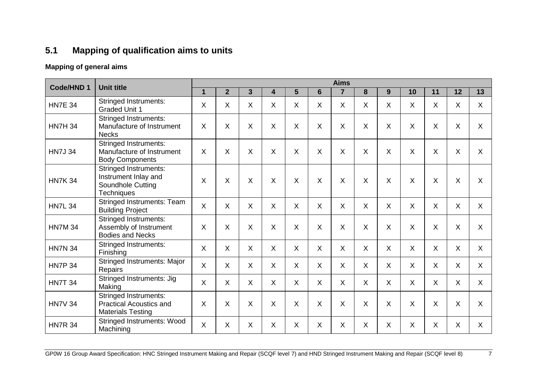## **5.1 Mapping of qualification aims to units**

### **Mapping of general aims**

<span id="page-8-0"></span>

|                |                                                                                                |              |                |              |                           |              |                           | <b>Aims</b>    |          |         |          |              |              |              |
|----------------|------------------------------------------------------------------------------------------------|--------------|----------------|--------------|---------------------------|--------------|---------------------------|----------------|----------|---------|----------|--------------|--------------|--------------|
| Code/HND 1     | <b>Unit title</b>                                                                              | $\mathbf{1}$ | $\overline{2}$ | $\mathbf{3}$ | 4                         | 5            | $6\phantom{1}$            | $\overline{7}$ | 8        | 9       | 10       | 11           | 12           | 13           |
| <b>HN7E 34</b> | <b>Stringed Instruments:</b><br><b>Graded Unit 1</b>                                           | X            | X              | X            | $\boldsymbol{\mathsf{X}}$ | $\mathsf{X}$ | Χ                         | X              | $\sf X$  | X       | X        | X            | X            | $\mathsf{X}$ |
| <b>HN7H 34</b> | <b>Stringed Instruments:</b><br>Manufacture of Instrument<br><b>Necks</b>                      | X            | Χ              | X            | $\boldsymbol{\mathsf{X}}$ | X            | X                         | X              | X        | X       | $\times$ | X            | $\sf X$      | X            |
| <b>HN7J 34</b> | Stringed Instruments:<br>Manufacture of Instrument<br><b>Body Components</b>                   | X            | X              | X            | X                         | X            | X                         | X              | $\times$ | X       | X        | X            | X            | X            |
| <b>HN7K 34</b> | <b>Stringed Instruments:</b><br>Instrument Inlay and<br>Soundhole Cutting<br><b>Techniques</b> | X            | X              | X            | $\boldsymbol{\mathsf{X}}$ | X            | $\sf X$                   | $\sf X$        | $\sf X$  | X       | $\times$ | X            | X            | $\mathsf{X}$ |
| <b>HN7L 34</b> | <b>Stringed Instruments: Team</b><br><b>Building Project</b>                                   | $\mathsf{X}$ | $\sf X$        | X            | $\boldsymbol{\mathsf{X}}$ | X            | X                         | X              | $\sf X$  | $\sf X$ | $\sf X$  | X            | X            | $\mathsf{X}$ |
| <b>HN7M 34</b> | <b>Stringed Instruments:</b><br>Assembly of Instrument<br><b>Bodies and Necks</b>              | X            | X              | X            | X                         | X            | X                         | X              | $\sf X$  | X       | X        | X            | X            | $\mathsf{X}$ |
| <b>HN7N 34</b> | <b>Stringed Instruments:</b><br>Finishing                                                      | $\mathsf{X}$ | $\mathsf{X}$   | X            | $\boldsymbol{\mathsf{X}}$ | X            | $\boldsymbol{\mathsf{X}}$ | X              | $\sf X$  | $\sf X$ | $\sf X$  | X            | $\sf X$      | $\mathsf{X}$ |
| <b>HN7P 34</b> | <b>Stringed Instruments: Major</b><br><b>Repairs</b>                                           | $\mathsf{X}$ | $\mathsf{X}$   | $\mathsf{X}$ | $\sf X$                   | $\mathsf{X}$ | $\sf X$                   | $\mathsf{X}$   | $\sf X$  | $\sf X$ | $\sf X$  | $\mathsf{X}$ | $\mathsf{X}$ | $\mathsf{X}$ |
| <b>HN7T 34</b> | Stringed Instruments: Jig<br>Making                                                            | $\mathsf{X}$ | $\sf X$        | X            | $\boldsymbol{\mathsf{X}}$ | X            | $\boldsymbol{\mathsf{X}}$ | X              | $\sf X$  | $\sf X$ | $\sf X$  | X            | $\sf X$      | $\mathsf{X}$ |
| <b>HN7V 34</b> | <b>Stringed Instruments:</b><br><b>Practical Acoustics and</b><br><b>Materials Testing</b>     | X            | X              | X            | $\boldsymbol{\mathsf{X}}$ | X            | $\boldsymbol{\mathsf{X}}$ | X              | $\times$ | X       | X        | X            | X            | $\mathsf{X}$ |
| <b>HN7R 34</b> | <b>Stringed Instruments: Wood</b><br>Machining                                                 | $\mathsf{X}$ | $\sf X$        | X            | $\boldsymbol{\mathsf{X}}$ | X            | $\boldsymbol{\mathsf{X}}$ | X              | $\sf X$  | X       | $\sf X$  | X            | $\sf X$      | $\mathsf{X}$ |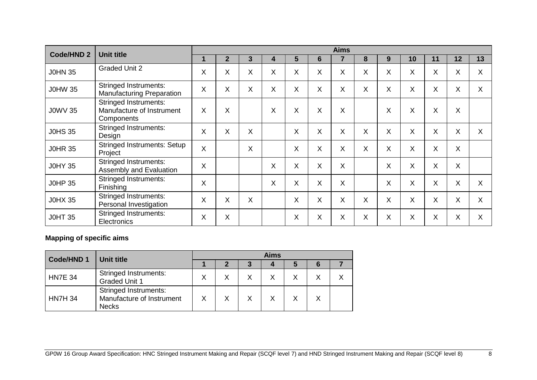| <b>Code/HND 2</b> | <b>Unit title</b>                                                | <b>Aims</b> |                           |   |   |   |              |   |    |   |          |    |    |    |
|-------------------|------------------------------------------------------------------|-------------|---------------------------|---|---|---|--------------|---|----|---|----------|----|----|----|
|                   |                                                                  | 1           | $\mathbf{2}$              | 3 | 4 | 5 | 6            |   | 8  | 9 | 10       | 11 | 12 | 13 |
| <b>J0HN 35</b>    | <b>Graded Unit 2</b>                                             | X           | $\sf X$                   | X | X | X | X            | X | X  | X | X        | X  | X  | X  |
| <b>J0HW 35</b>    | <b>Stringed Instruments:</b><br><b>Manufacturing Preparation</b> | X           | X                         | X | X | X | X            | X | X  | X | X        | X  | X  | X  |
| <b>J0WV 35</b>    | Stringed Instruments:<br>Manufacture of Instrument<br>Components | X           | X                         |   | X | X | X            | X |    | X | X        | X  | X  |    |
| <b>J0HS 35</b>    | <b>Stringed Instruments:</b><br>Design                           | X           | $\boldsymbol{\mathsf{X}}$ | X |   | X | X            | X | X  | X | $\times$ | X  | X  | X  |
| <b>JOHR 35</b>    | <b>Stringed Instruments: Setup</b><br>Project                    | X           |                           | X |   | X | X            | X | X. | X | $\times$ | X  | X  |    |
| <b>J0HY 35</b>    | <b>Stringed Instruments:</b><br>Assembly and Evaluation          | X           |                           |   | X | Χ | X            | X |    | X | X        | X  | X  |    |
| <b>J0HP 35</b>    | <b>Stringed Instruments:</b><br><b>Finishing</b>                 | X           |                           |   | X | X | X            | X |    | X | X        | X  | X  | X  |
| <b>J0HX 35</b>    | <b>Stringed Instruments:</b><br>Personal Investigation           | X           | $\sf X$                   | X |   | X | $\mathsf{X}$ | X | X  | X | X        | X  | X  | X  |
| <b>JOHT 35</b>    | <b>Stringed Instruments:</b><br>Electronics                      | X           | X                         |   |   | X | X            | X | Χ  | X | X        | X  | Χ  | X  |

### **Mapping of specific aims**

| Code/HND 1     | Unit title                                                                | <b>Aims</b> |    |   |   |   |    |  |  |  |  |
|----------------|---------------------------------------------------------------------------|-------------|----|---|---|---|----|--|--|--|--|
|                |                                                                           |             | כי |   |   | 5 | -6 |  |  |  |  |
| <b>HN7E 34</b> | <b>Stringed Instruments:</b><br><b>Graded Unit 1</b>                      |             | Χ  | X |   |   |    |  |  |  |  |
| <b>HN7H 34</b> | <b>Stringed Instruments:</b><br>Manufacture of Instrument<br><b>Necks</b> |             | X  | X | X |   |    |  |  |  |  |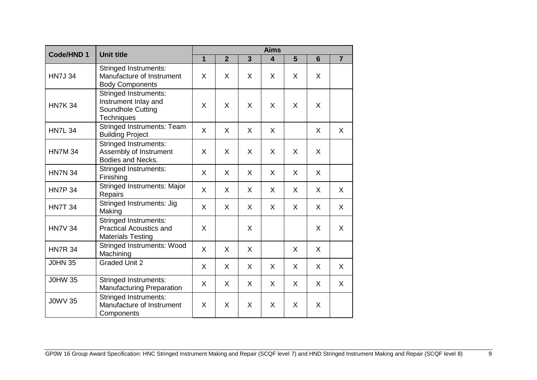| Code/HND 1     | <b>Unit title</b>                                                                              |                         | <b>Aims</b>    |                |                         |   |   |                |
|----------------|------------------------------------------------------------------------------------------------|-------------------------|----------------|----------------|-------------------------|---|---|----------------|
|                |                                                                                                | $\overline{\mathbf{1}}$ | $\overline{2}$ | $\overline{3}$ | $\overline{\mathbf{4}}$ | 5 | 6 | $\overline{7}$ |
| <b>HN7J 34</b> | <b>Stringed Instruments:</b><br>Manufacture of Instrument<br><b>Body Components</b>            | X                       | X              | X              | X                       | X | X |                |
| <b>HN7K 34</b> | <b>Stringed Instruments:</b><br>Instrument Inlay and<br>Soundhole Cutting<br><b>Techniques</b> | X                       | X              | X              | X                       | X | X |                |
| <b>HN7L 34</b> | <b>Stringed Instruments: Team</b><br><b>Building Project</b>                                   | X                       | X              | X              | X                       |   | X | X              |
| <b>HN7M 34</b> | <b>Stringed Instruments:</b><br>Assembly of Instrument<br>Bodies and Necks.                    | X                       | X              | X              | X                       | X | X |                |
| <b>HN7N 34</b> | Stringed Instruments:<br>Finishing                                                             | X                       | X              | X              | X                       | X | X |                |
| <b>HN7P 34</b> | <b>Stringed Instruments: Major</b><br>Repairs                                                  | X                       | X              | X              | X                       | X | X | $\mathsf{X}$   |
| <b>HN7T 34</b> | Stringed Instruments: Jig<br>Making                                                            | X                       | X              | X              | X                       | X | X | X              |
| <b>HN7V 34</b> | <b>Stringed Instruments:</b><br><b>Practical Acoustics and</b><br><b>Materials Testing</b>     | X                       |                | X              |                         |   | X | X              |
| <b>HN7R 34</b> | <b>Stringed Instruments: Wood</b><br>Machining                                                 | X                       | X              | X              |                         | X | X |                |
| <b>JOHN 35</b> | <b>Graded Unit 2</b>                                                                           | X                       | X              | X              | X                       | X | X | X              |
| <b>J0HW 35</b> | <b>Stringed Instruments:</b><br>Manufacturing Preparation                                      | X                       | X              | X              | X                       | X | X | X              |
| <b>J0WV 35</b> | <b>Stringed Instruments:</b><br>Manufacture of Instrument<br>Components                        | X                       | X              | X              | X                       | X | X |                |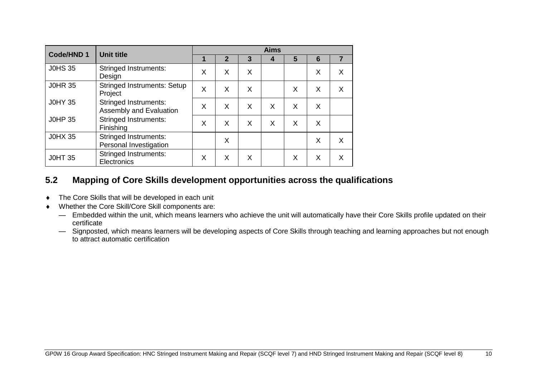| Code/HND 1     | <b>Unit title</b>                                       | <b>Aims</b> |              |   |   |   |   |   |  |  |  |
|----------------|---------------------------------------------------------|-------------|--------------|---|---|---|---|---|--|--|--|
|                |                                                         | 1           | $\mathbf{2}$ | 3 | 4 | 5 | 6 | 7 |  |  |  |
| <b>J0HS 35</b> | <b>Stringed Instruments:</b><br>Design                  | X           | X            | X |   |   | X | X |  |  |  |
| <b>J0HR 35</b> | <b>Stringed Instruments: Setup</b><br>Project           | X           | X            | X |   | X | X | X |  |  |  |
| <b>J0HY 35</b> | <b>Stringed Instruments:</b><br>Assembly and Evaluation | X           | X            | X | X | X | X |   |  |  |  |
| <b>JOHP 35</b> | <b>Stringed Instruments:</b><br>Finishing               | X           | X            | X | X | X | X |   |  |  |  |
| <b>J0HX 35</b> | <b>Stringed Instruments:</b><br>Personal Investigation  |             | X            |   |   |   | X | X |  |  |  |
| <b>JOHT 35</b> | <b>Stringed Instruments:</b><br>Electronics             | X           | X            | X |   | X | X | X |  |  |  |

### **5.2 Mapping of Core Skills development opportunities across the qualifications**

- ◆ The Core Skills that will be developed in each unit
- <span id="page-11-0"></span> Whether the Core Skill/Core Skill components are:
	- Embedded within the unit, which means learners who achieve the unit will automatically have their Core Skills profile updated on their certificate
	- Signposted, which means learners will be developing aspects of Core Skills through teaching and learning approaches but not enough to attract automatic certification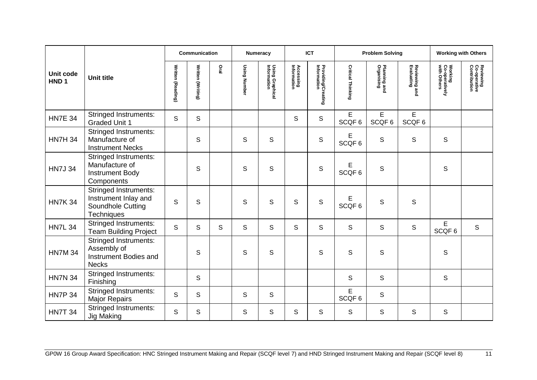|                               |                                                                                         |                   | Communication     |      |              | <b>Numeracy</b>                |                                 | <b>ICT</b>                        |                          | <b>Problem Solving</b>     |                             |                                          | <b>Working with Others</b>                |
|-------------------------------|-----------------------------------------------------------------------------------------|-------------------|-------------------|------|--------------|--------------------------------|---------------------------------|-----------------------------------|--------------------------|----------------------------|-----------------------------|------------------------------------------|-------------------------------------------|
| Unit code<br>HND <sub>1</sub> | <b>Unit title</b>                                                                       | Written (Reading) | Written (Writing) | Oral | Using Number | Using Graphical<br>Information | <b>Accessing</b><br>Information | Providing/Creating<br>Information | <b>Critical Thinking</b> | Planning and<br>Organising | Reviewing and<br>Evaluating | Working<br>Co-operatively<br>with Others | Reviewing<br>Co-operative<br>Contribution |
| <b>HN7E 34</b>                | <b>Stringed Instruments:</b><br><b>Graded Unit 1</b>                                    | S                 | S                 |      |              |                                | S                               | S                                 | E<br>SCQF <sub>6</sub>   | E<br>SCQF6                 | E<br>SCQF6                  |                                          |                                           |
| <b>HN7H 34</b>                | <b>Stringed Instruments:</b><br>Manufacture of<br><b>Instrument Necks</b>               |                   | S                 |      | S            | S                              |                                 | $\mathbb S$                       | Е<br>SCQF <sub>6</sub>   | S                          | S                           | $\mathsf{S}$                             |                                           |
| <b>HN7J 34</b>                | <b>Stringed Instruments:</b><br>Manufacture of<br><b>Instrument Body</b><br>Components  |                   | S                 |      | S            | $\mathsf S$                    |                                 | $\mathbb S$                       | Е<br>SCQF6               | $\mathsf S$                |                             | $\mathsf S$                              |                                           |
| <b>HN7K 34</b>                | <b>Stringed Instruments:</b><br>Instrument Inlay and<br>Soundhole Cutting<br>Techniques | $\mathsf{S}$      | S                 |      | S            | S                              | S                               | S                                 | Е<br>SCQF <sub>6</sub>   | S                          | S                           |                                          |                                           |
| <b>HN7L 34</b>                | <b>Stringed Instruments:</b><br><b>Team Building Project</b>                            | S                 | S                 | S    | S            | $\mathsf{S}$                   | S                               | S                                 | $\mathsf S$              | $\mathsf S$                | $\mathbb S$                 | E<br>SCQF6                               | $\mathsf S$                               |
| <b>HN7M 34</b>                | <b>Stringed Instruments:</b><br>Assembly of<br>Instrument Bodies and<br><b>Necks</b>    |                   | S                 |      | S            | S                              |                                 | S                                 | S                        | $\mathsf S$                |                             | S                                        |                                           |
| <b>HN7N 34</b>                | <b>Stringed Instruments:</b><br>Finishing                                               |                   | S                 |      |              |                                |                                 |                                   | $\mathsf S$              | $\mathsf S$                |                             | $\mathsf{S}$                             |                                           |
| <b>HN7P 34</b>                | <b>Stringed Instruments:</b><br><b>Major Repairs</b>                                    | S                 | S                 |      | S            | S                              |                                 |                                   | E<br>SCQF <sub>6</sub>   | $\mathsf S$                |                             |                                          |                                           |
| <b>HN7T 34</b>                | <b>Stringed Instruments:</b><br><b>Jig Making</b>                                       | S                 | S                 |      | S            | S                              | S                               | S                                 | S                        | $\mathbb S$                | $\mathsf S$                 | $\mathsf S$                              |                                           |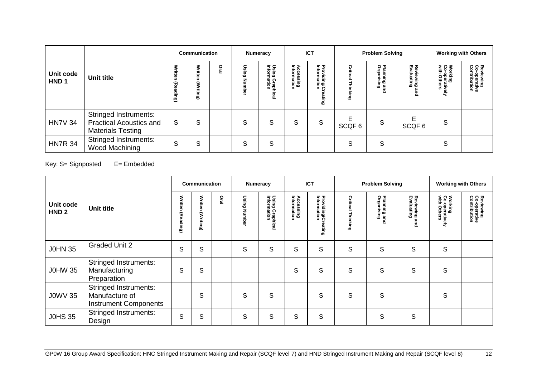|                               |                                                                                     |                           | Communication      |                | <b>Numeracy</b> |                                        | <b>ICT</b>                      |                                     | <b>Problem Solving</b> |                           |                                    | <b>Working with Others</b>                       |                                                        |
|-------------------------------|-------------------------------------------------------------------------------------|---------------------------|--------------------|----------------|-----------------|----------------------------------------|---------------------------------|-------------------------------------|------------------------|---------------------------|------------------------------------|--------------------------------------------------|--------------------------------------------------------|
| Unit code<br>HND <sub>1</sub> | Unit title                                                                          | Writt<br>র<br>8<br>읔<br>౷ | ≨<br>Ŝ<br>Ē<br>(6u | ó<br><u>نه</u> | c<br>6          | Using<br>Inform<br>Graphical<br>nation | <b>Accessing</b><br>Information | Providing/Cr<br>Information<br>ting | Critic<br>Ning         | Planning an<br>Organising | Reviewing<br>Evaluatin<br>ه ه<br>큔 | Working<br>Co-operative<br>with Others<br>Φ<br>Ē | Revie<br>Co-ont<br>/iewing<br>-operative<br>htribution |
| <b>HN7V 34</b>                | <b>Stringed Instruments:</b><br>Practical Acoustics and<br><b>Materials Testing</b> | S                         | S                  |                | S               | S                                      | S                               | S                                   | F<br>SCQF6             | S                         | E<br>SCQF <sub>6</sub>             | S                                                |                                                        |
| <b>HN7R 34</b>                | <b>Stringed Instruments:</b><br>Wood Machining                                      | S                         | S                  |                | S               | S                                      |                                 |                                     | S                      | S                         |                                    | S                                                |                                                        |

Key: S= Signposted E= Embedded

|                               |                                                                                |                      | <b>Communication</b> |      | Numeracy |                                          |                                 | <b>ICT</b>                                         |                      | <b>Problem Solving</b>     |                                |                                          | <b>Working with Others</b>                |
|-------------------------------|--------------------------------------------------------------------------------|----------------------|----------------------|------|----------|------------------------------------------|---------------------------------|----------------------------------------------------|----------------------|----------------------------|--------------------------------|------------------------------------------|-------------------------------------------|
| Unit code<br>HND <sub>2</sub> | <b>Unit title</b>                                                              | Written<br>(Reading) | Written<br>(Writing) | Dral | Using    | Using<br>Inform<br>mat<br>Graphical<br>õ | <b>Accessing</b><br>Information | Providing/Cr<br>Information<br>ക<br>$\sim$<br>iing | Critical<br>Thinking | Planning and<br>Organising | Reviewing<br>Evaluating<br>and | Working<br>Co-operatively<br>with Others | Reviewing<br>Co-operative<br>Contribution |
| <b>J0HN 35</b>                | <b>Graded Unit 2</b>                                                           | S                    | S                    |      | S        | S                                        | S                               | S                                                  | S                    | S                          | S                              | S                                        |                                           |
| <b>J0HW 35</b>                | <b>Stringed Instruments:</b><br>Manufacturing<br>Preparation                   | S                    | S                    |      |          |                                          | S                               | S                                                  | S                    | S                          | S                              | S                                        |                                           |
| <b>J0WV 35</b>                | <b>Stringed Instruments:</b><br>Manufacture of<br><b>Instrument Components</b> |                      | S                    |      | S        | S                                        |                                 | S                                                  | S                    | S                          |                                | S                                        |                                           |
| <b>J0HS 35</b>                | <b>Stringed Instruments:</b><br>Design                                         | S                    | S                    |      | S        | S                                        | S                               | S                                                  |                      | S                          | S                              |                                          |                                           |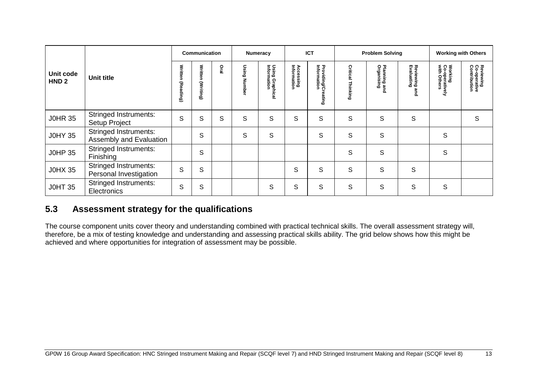|                               |                                                         |                             | Communication     |      |            | Numeracy                       |                                 | <b>ICT</b>                            |                      | <b>Problem Solving</b>     |                                                       | <b>Working with Others</b>               |                                           |
|-------------------------------|---------------------------------------------------------|-----------------------------|-------------------|------|------------|--------------------------------|---------------------------------|---------------------------------------|----------------------|----------------------------|-------------------------------------------------------|------------------------------------------|-------------------------------------------|
| Unit code<br>HND <sub>2</sub> | <b>Unit title</b>                                       | <b>Written</b><br>(Reading) | Written (Writing) | Oral | Using<br>z | Using Graphical<br>Information | <b>Accessing</b><br>Information | Providing/Cr<br>Information<br>eating | Critical<br>Thinking | Planning and<br>Organising | Reviewing<br>Evaluating<br>$\boldsymbol{\omega}$<br>휸 | Working<br>Co-operatively<br>with Others | Reviewing<br>Co-operative<br>Contribution |
| <b>J0HR 35</b>                | <b>Stringed Instruments:</b><br>Setup Project           | S                           | S                 | S    | S          | S                              | S                               | S                                     | S                    | S                          | $\mathsf S$                                           |                                          | S                                         |
| <b>J0HY 35</b>                | <b>Stringed Instruments:</b><br>Assembly and Evaluation |                             | S                 |      | S          | S                              |                                 | S                                     | S                    | S                          |                                                       | S                                        |                                           |
| <b>J0HP 35</b>                | <b>Stringed Instruments:</b><br>Finishing               |                             | S                 |      |            |                                |                                 |                                       | S                    | $\mathsf S$                |                                                       | $\mathsf S$                              |                                           |
| <b>J0HX 35</b>                | <b>Stringed Instruments:</b><br>Personal Investigation  | S                           | S                 |      |            |                                | S                               | S                                     | S                    | S                          | S                                                     |                                          |                                           |
| <b>JOHT 35</b>                | <b>Stringed Instruments:</b><br>Electronics             | S                           | S                 |      |            | S                              | S                               | S                                     | S                    | S                          | S                                                     | S                                        |                                           |

## **5.3 Assessment strategy for the qualifications**

<span id="page-14-0"></span>The course component units cover theory and understanding combined with practical technical skills. The overall assessment strategy will, therefore, be a mix of testing knowledge and understanding and assessing practical skills ability. The grid below shows how this might be achieved and where opportunities for integration of assessment may be possible.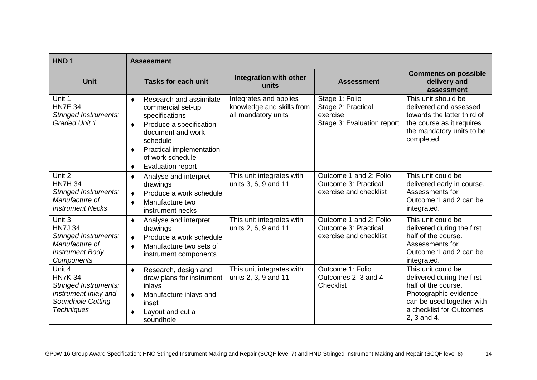| HND <sub>1</sub>                                                                                                           | <b>Assessment</b>                                                                                                                                                                                                   |                                                                            |                                                                                 |                                                                                                                                                                          |
|----------------------------------------------------------------------------------------------------------------------------|---------------------------------------------------------------------------------------------------------------------------------------------------------------------------------------------------------------------|----------------------------------------------------------------------------|---------------------------------------------------------------------------------|--------------------------------------------------------------------------------------------------------------------------------------------------------------------------|
| <b>Unit</b>                                                                                                                | <b>Tasks for each unit</b>                                                                                                                                                                                          | Integration with other<br>units                                            | <b>Assessment</b>                                                               | <b>Comments on possible</b><br>delivery and<br>assessment                                                                                                                |
| Unit 1<br><b>HN7E 34</b><br><b>Stringed Instruments:</b><br><b>Graded Unit 1</b>                                           | Research and assimilate<br>٠<br>commercial set-up<br>specifications<br>Produce a specification<br>٠<br>document and work<br>schedule<br>Practical implementation<br>٠<br>of work schedule<br>Evaluation report<br>٠ | Integrates and applies<br>knowledge and skills from<br>all mandatory units | Stage 1: Folio<br>Stage 2: Practical<br>exercise<br>Stage 3: Evaluation report  | This unit should be<br>delivered and assessed<br>towards the latter third of<br>the course as it requires<br>the mandatory units to be<br>completed.                     |
| Unit 2<br><b>HN7H 34</b><br><b>Stringed Instruments:</b><br>Manufacture of<br><b>Instrument Necks</b>                      | Analyse and interpret<br>٠<br>drawings<br>Produce a work schedule<br>$\bullet$<br>Manufacture two<br>٠<br>instrument necks                                                                                          | This unit integrates with<br>units 3, 6, 9 and 11                          | Outcome 1 and 2: Folio<br><b>Outcome 3: Practical</b><br>exercise and checklist | This unit could be<br>delivered early in course.<br>Assessments for<br>Outcome 1 and 2 can be<br>integrated.                                                             |
| Unit 3<br><b>HN7J 34</b><br><b>Stringed Instruments:</b><br>Manufacture of<br><b>Instrument Body</b><br>Components         | Analyse and interpret<br>٠<br>drawings<br>Produce a work schedule<br>$\bullet$<br>Manufacture two sets of<br>٠<br>instrument components                                                                             | This unit integrates with<br>units 2, 6, 9 and 11                          | Outcome 1 and 2: Folio<br><b>Outcome 3: Practical</b><br>exercise and checklist | This unit could be<br>delivered during the first<br>half of the course.<br>Assessments for<br>Outcome 1 and 2 can be<br>integrated.                                      |
| Unit 4<br><b>HN7K 34</b><br><b>Stringed Instruments:</b><br>Instrument Inlay and<br>Soundhole Cutting<br><b>Techniques</b> | Research, design and<br>$\bullet$<br>draw plans for instrument<br>inlays<br>Manufacture inlays and<br>$\bullet$<br>inset<br>Layout and cut a<br>soundhole                                                           | This unit integrates with<br>units 2, 3, 9 and 11                          | Outcome 1: Folio<br>Outcomes 2, 3 and 4:<br><b>Checklist</b>                    | This unit could be<br>delivered during the first<br>half of the course.<br>Photographic evidence<br>can be used together with<br>a checklist for Outcomes<br>2, 3 and 4. |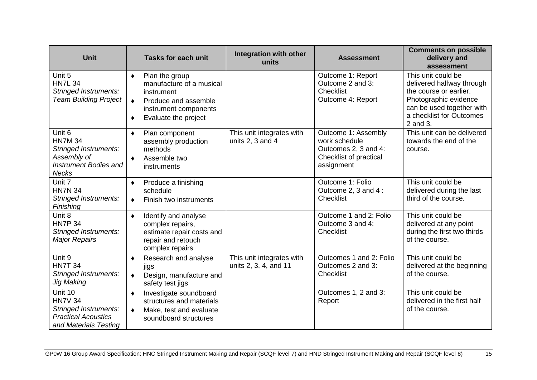| <b>Unit</b>                                                                                                             | <b>Tasks for each unit</b>                                                                                                                               | Integration with other<br>units                    | <b>Assessment</b>                                                                                    | <b>Comments on possible</b><br>delivery and<br>assessment                                                                                                               |
|-------------------------------------------------------------------------------------------------------------------------|----------------------------------------------------------------------------------------------------------------------------------------------------------|----------------------------------------------------|------------------------------------------------------------------------------------------------------|-------------------------------------------------------------------------------------------------------------------------------------------------------------------------|
| Unit 5<br><b>HN7L 34</b><br><b>Stringed Instruments:</b><br><b>Team Building Project</b>                                | Plan the group<br>٠<br>manufacture of a musical<br>instrument<br>Produce and assemble<br>$\bullet$<br>instrument components<br>Evaluate the project<br>٠ |                                                    | Outcome 1: Report<br>Outcome 2 and 3:<br><b>Checklist</b><br>Outcome 4: Report                       | This unit could be<br>delivered halfway through<br>the course or earlier.<br>Photographic evidence<br>can be used together with<br>a checklist for Outcomes<br>2 and 3. |
| Unit 6<br><b>HN7M 34</b><br><b>Stringed Instruments:</b><br>Assembly of<br><b>Instrument Bodies and</b><br><b>Necks</b> | Plan component<br>٠<br>assembly production<br>methods<br>Assemble two<br>$\bullet$<br>instruments                                                        | This unit integrates with<br>units 2, 3 and 4      | Outcome 1: Assembly<br>work schedule<br>Outcomes 2, 3 and 4:<br>Checklist of practical<br>assignment | This unit can be delivered<br>towards the end of the<br>course.                                                                                                         |
| Unit 7<br><b>HN7N 34</b><br><b>Stringed Instruments:</b><br>Finishing                                                   | Produce a finishing<br>٠<br>schedule<br>Finish two instruments<br>$\bullet$                                                                              |                                                    | Outcome 1: Folio<br>Outcome 2, 3 and 4 :<br><b>Checklist</b>                                         | This unit could be<br>delivered during the last<br>third of the course.                                                                                                 |
| Unit 8<br><b>HN7P 34</b><br><b>Stringed Instruments:</b><br><b>Major Repairs</b>                                        | Identify and analyse<br>$\bullet$<br>complex repairs,<br>estimate repair costs and<br>repair and retouch<br>complex repairs                              |                                                    | Outcome 1 and 2: Folio<br>Outcome 3 and 4:<br><b>Checklist</b>                                       | This unit could be<br>delivered at any point<br>during the first two thirds<br>of the course.                                                                           |
| Unit 9<br><b>HN7T 34</b><br><b>Stringed Instruments:</b><br><b>Jig Making</b>                                           | Research and analyse<br>٠<br>jigs<br>Design, manufacture and<br>$\bullet$<br>safety test jigs                                                            | This unit integrates with<br>units 2, 3, 4, and 11 | Outcomes 1 and 2: Folio<br>Outcomes 2 and 3:<br><b>Checklist</b>                                     | This unit could be<br>delivered at the beginning<br>of the course.                                                                                                      |
| Unit 10<br><b>HN7V 34</b><br>Stringed Instruments:<br><b>Practical Acoustics</b><br>and Materials Testing               | Investigate soundboard<br>$\bullet$<br>structures and materials<br>Make, test and evaluate<br>$\bullet$<br>soundboard structures                         |                                                    | Outcomes 1, 2 and 3:<br>Report                                                                       | This unit could be<br>delivered in the first half<br>of the course.                                                                                                     |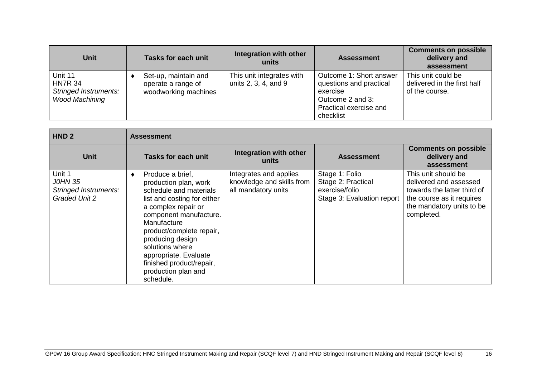| <b>Unit</b>                                                                        | <b>Tasks for each unit</b>                                         | Integration with other<br>units                   | <b>Assessment</b>                                                                                                         | <b>Comments on possible</b><br>delivery and<br>assessment           |
|------------------------------------------------------------------------------------|--------------------------------------------------------------------|---------------------------------------------------|---------------------------------------------------------------------------------------------------------------------------|---------------------------------------------------------------------|
| Unit 11<br><b>HN7R 34</b><br><b>Stringed Instruments:</b><br><b>Wood Machining</b> | Set-up, maintain and<br>operate a range of<br>woodworking machines | This unit integrates with<br>units 2, 3, 4, and 9 | Outcome 1: Short answer<br>questions and practical<br>exercise<br>Outcome 2 and 3:<br>Practical exercise and<br>checklist | This unit could be<br>delivered in the first half<br>of the course. |

| HND <sub>2</sub>                                                          | <b>Assessment</b>                                                                                                                                                                                                                                                                                                              |                                                                            |                                                                                      |                                                                                                                                                      |
|---------------------------------------------------------------------------|--------------------------------------------------------------------------------------------------------------------------------------------------------------------------------------------------------------------------------------------------------------------------------------------------------------------------------|----------------------------------------------------------------------------|--------------------------------------------------------------------------------------|------------------------------------------------------------------------------------------------------------------------------------------------------|
| <b>Unit</b>                                                               | Tasks for each unit                                                                                                                                                                                                                                                                                                            | Integration with other<br>units                                            | <b>Assessment</b>                                                                    | <b>Comments on possible</b><br>delivery and<br>assessment                                                                                            |
| Unit 1<br>J0HN 35<br><b>Stringed Instruments:</b><br><b>Graded Unit 2</b> | Produce a brief,<br>production plan, work<br>schedule and materials<br>list and costing for either<br>a complex repair or<br>component manufacture.<br>Manufacture<br>product/complete repair,<br>producing design<br>solutions where<br>appropriate. Evaluate<br>finished product/repair,<br>production plan and<br>schedule. | Integrates and applies<br>knowledge and skills from<br>all mandatory units | Stage 1: Folio<br>Stage 2: Practical<br>exercise/folio<br>Stage 3: Evaluation report | This unit should be<br>delivered and assessed<br>towards the latter third of<br>the course as it requires<br>the mandatory units to be<br>completed. |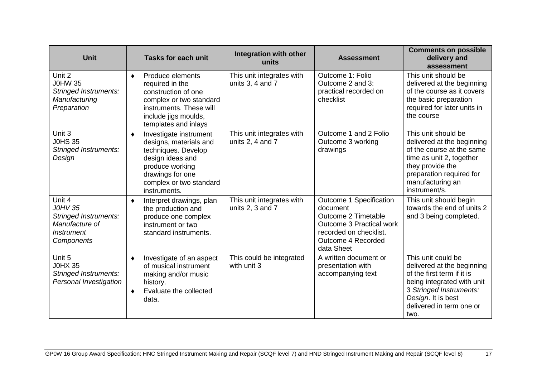| <b>Unit</b>                                                                                                   | <b>Tasks for each unit</b>                                                                                                                                                         | Integration with other<br>units                   | <b>Assessment</b>                                                                                                                                           | <b>Comments on possible</b><br>delivery and<br>assessment                                                                                                                                         |
|---------------------------------------------------------------------------------------------------------------|------------------------------------------------------------------------------------------------------------------------------------------------------------------------------------|---------------------------------------------------|-------------------------------------------------------------------------------------------------------------------------------------------------------------|---------------------------------------------------------------------------------------------------------------------------------------------------------------------------------------------------|
| Unit 2<br><b>J0HW 35</b><br><b>Stringed Instruments:</b><br>Manufacturing<br>Preparation                      | Produce elements<br>٠<br>required in the<br>construction of one<br>complex or two standard<br>instruments. These will<br>include jigs moulds,<br>templates and inlays              | This unit integrates with<br>units $3, 4$ and $7$ | Outcome 1: Folio<br>Outcome 2 and 3:<br>practical recorded on<br>checklist                                                                                  | This unit should be<br>delivered at the beginning<br>of the course as it covers<br>the basic preparation<br>required for later units in<br>the course                                             |
| Unit 3<br><b>J0HS 35</b><br><b>Stringed Instruments:</b><br>Design                                            | Investigate instrument<br>٠<br>designs, materials and<br>techniques. Develop<br>design ideas and<br>produce working<br>drawings for one<br>complex or two standard<br>instruments. | This unit integrates with<br>units 2, 4 and $7$   | Outcome 1 and 2 Folio<br>Outcome 3 working<br>drawings                                                                                                      | This unit should be<br>delivered at the beginning<br>of the course at the same<br>time as unit 2, together<br>they provide the<br>preparation required for<br>manufacturing an<br>instrument/s.   |
| Unit 4<br><b>JOHV 35</b><br><b>Stringed Instruments:</b><br>Manufacture of<br><b>Instrument</b><br>Components | Interpret drawings, plan<br>٠<br>the production and<br>produce one complex<br>instrument or two<br>standard instruments.                                                           | This unit integrates with<br>units 2, 3 and 7     | Outcome 1 Specification<br>document<br>Outcome 2 Timetable<br><b>Outcome 3 Practical work</b><br>recorded on checklist.<br>Outcome 4 Recorded<br>data Sheet | This unit should begin<br>towards the end of units 2<br>and 3 being completed.                                                                                                                    |
| Unit 5<br><b>J0HX 35</b><br><b>Stringed Instruments:</b><br>Personal Investigation                            | Investigate of an aspect<br>٠<br>of musical instrument<br>making and/or music<br>history.<br>Evaluate the collected<br>٠<br>data.                                                  | This could be integrated<br>with unit 3           | A written document or<br>presentation with<br>accompanying text                                                                                             | This unit could be<br>delivered at the beginning<br>of the first term if it is<br>being integrated with unit<br>3 Stringed Instruments:<br>Design. It is best<br>delivered in term one or<br>two. |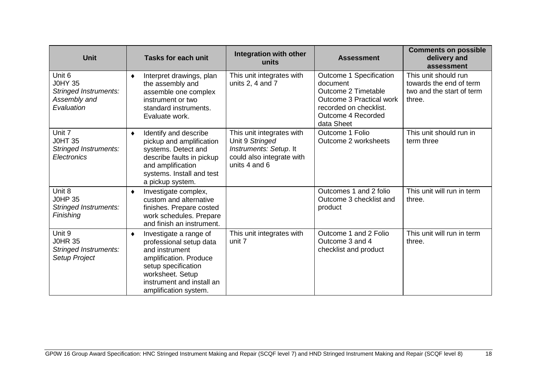| <b>Unit</b>                                                                            | <b>Tasks for each unit</b>                                                                                                                                                                          | Integration with other<br>units                                                                                      | <b>Assessment</b>                                                                                                                                           | <b>Comments on possible</b><br>delivery and<br>assessment                              |
|----------------------------------------------------------------------------------------|-----------------------------------------------------------------------------------------------------------------------------------------------------------------------------------------------------|----------------------------------------------------------------------------------------------------------------------|-------------------------------------------------------------------------------------------------------------------------------------------------------------|----------------------------------------------------------------------------------------|
| Unit 6<br><b>J0HY 35</b><br><b>Stringed Instruments:</b><br>Assembly and<br>Evaluation | Interpret drawings, plan<br>٠<br>the assembly and<br>assemble one complex<br>instrument or two<br>standard instruments.<br>Evaluate work.                                                           | This unit integrates with<br>units $2, 4$ and $7$                                                                    | Outcome 1 Specification<br>document<br>Outcome 2 Timetable<br><b>Outcome 3 Practical work</b><br>recorded on checklist.<br>Outcome 4 Recorded<br>data Sheet | This unit should run<br>towards the end of term<br>two and the start of term<br>three. |
| Unit 7<br><b>JOHT 35</b><br><b>Stringed Instruments:</b><br><b>Electronics</b>         | Identify and describe<br>٠<br>pickup and amplification<br>systems. Detect and<br>describe faults in pickup<br>and amplification<br>systems. Install and test<br>a pickup system.                    | This unit integrates with<br>Unit 9 Stringed<br>Instruments: Setup. It<br>could also integrate with<br>units 4 and 6 | Outcome 1 Folio<br>Outcome 2 worksheets                                                                                                                     | This unit should run in<br>term three                                                  |
| Unit 8<br><b>J0HP 35</b><br><b>Stringed Instruments:</b><br><b>Finishing</b>           | Investigate complex,<br>٠<br>custom and alternative<br>finishes. Prepare costed<br>work schedules. Prepare<br>and finish an instrument.                                                             |                                                                                                                      | Outcomes 1 and 2 folio<br>Outcome 3 checklist and<br>product                                                                                                | This unit will run in term<br>three.                                                   |
| Unit 9<br><b>J0HR 35</b><br><b>Stringed Instruments:</b><br>Setup Project              | Investigate a range of<br>٠<br>professional setup data<br>and instrument<br>amplification. Produce<br>setup specification<br>worksheet. Setup<br>instrument and install an<br>amplification system. | This unit integrates with<br>unit 7                                                                                  | Outcome 1 and 2 Folio<br>Outcome 3 and 4<br>checklist and product                                                                                           | This unit will run in term<br>three.                                                   |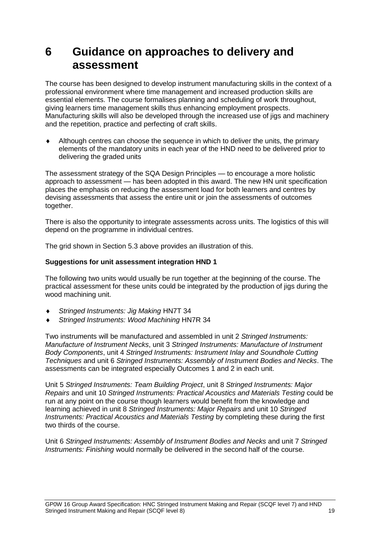## <span id="page-20-0"></span>**6 Guidance on approaches to delivery and assessment**

The course has been designed to develop instrument manufacturing skills in the context of a professional environment where time management and increased production skills are essential elements. The course formalises planning and scheduling of work throughout, giving learners time management skills thus enhancing employment prospects. Manufacturing skills will also be developed through the increased use of jigs and machinery and the repetition, practice and perfecting of craft skills.

 Although centres can choose the sequence in which to deliver the units, the primary elements of the mandatory units in each year of the HND need to be delivered prior to delivering the graded units

The assessment strategy of the SQA Design Principles — to encourage a more holistic approach to assessment — has been adopted in this award. The new HN unit specification places the emphasis on reducing the assessment load for both learners and centres by devising assessments that assess the entire unit or join the assessments of outcomes together.

There is also the opportunity to integrate assessments across units. The logistics of this will depend on the programme in individual centres.

The grid shown in Section 5.3 above provides an illustration of this.

#### **Suggestions for unit assessment integration HND 1**

The following two units would usually be run together at the beginning of the course. The practical assessment for these units could be integrated by the production of jigs during the wood machining unit.

- *Stringed Instruments: Jig Making* HN7T 34
- *Stringed Instruments: Wood Machining* HN7R 34

Two instruments will be manufactured and assembled in unit 2 *Stringed Instruments: Manufacture of Instrument Necks*, unit 3 *Stringed Instruments: Manufacture of Instrument Body Components*, unit 4 *Stringed Instruments: Instrument Inlay and Soundhole Cutting Techniques* and unit 6 *Stringed Instruments: Assembly of Instrument Bodies and Necks*. The assessments can be integrated especially Outcomes 1 and 2 in each unit.

Unit 5 *Stringed Instruments: Team Building Project*, unit 8 *Stringed Instruments: Major Repairs* and unit 10 *Stringed Instruments: Practical Acoustics and Materials Testing* could be run at any point on the course though learners would benefit from the knowledge and learning achieved in unit 8 *Stringed Instruments: Major Repairs* and unit 10 *Stringed Instruments: Practical Acoustics and Materials Testing* by completing these during the first two thirds of the course.

Unit 6 *Stringed Instruments: Assembly of Instrument Bodies and Necks* and unit 7 *Stringed Instruments: Finishing* would normally be delivered in the second half of the course.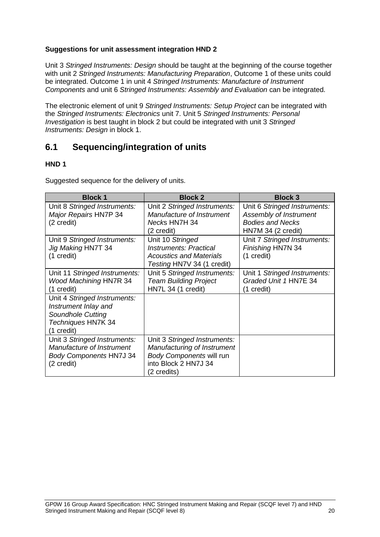#### **Suggestions for unit assessment integration HND 2**

Unit 3 *Stringed Instruments: Design* should be taught at the beginning of the course together with unit 2 *Stringed Instruments: Manufacturing Preparation*, Outcome 1 of these units could be integrated. Outcome 1 in unit 4 *Stringed Instruments: Manufacture of Instrument Components* and unit 6 *Stringed Instruments: Assembly and Evaluation* can be integrated.

The electronic element of unit 9 *Stringed Instruments: Setup Project* can be integrated with the *Stringed Instruments: Electronics* unit 7. Unit 5 *Stringed Instruments: Personal Investigation* is best taught in block 2 but could be integrated with unit 3 *Stringed Instruments: Design* in block 1.

### <span id="page-21-0"></span>**6.1 Sequencing/integration of units**

#### **HND 1**

Suggested sequence for the delivery of units.

| <b>Block 1</b>                                                                                                       | <b>Block 2</b>                                                                                                                        | <b>Block 3</b>                                                                                          |
|----------------------------------------------------------------------------------------------------------------------|---------------------------------------------------------------------------------------------------------------------------------------|---------------------------------------------------------------------------------------------------------|
| Unit 8 Stringed Instruments:<br><b>Major Repairs HN7P 34</b><br>(2 credit)                                           | Unit 2 Stringed Instruments:<br>Manufacture of Instrument<br>Necks HN7H 34<br>(2 credit)                                              | Unit 6 Stringed Instruments:<br>Assembly of Instrument<br><b>Bodies and Necks</b><br>HN7M 34 (2 credit) |
| Unit 9 Stringed Instruments:<br>Jig Making HN7T 34<br>(1 credit)                                                     | Unit 10 Stringed<br><b>Instruments: Practical</b><br>Acoustics and Materials<br>Testing HN7V 34 (1 credit)                            | Unit 7 Stringed Instruments:<br>Finishing HN7N 34<br>(1 credit)                                         |
| Unit 11 Stringed Instruments:<br><b>Wood Machining HN7R 34</b><br>(1 credit)                                         | Unit 5 Stringed Instruments:<br><b>Team Building Project</b><br>HN7L 34 (1 credit)                                                    | Unit 1 Stringed Instruments:<br>Graded Unit 1 HN7E 34<br>(1 credit)                                     |
| Unit 4 Stringed Instruments:<br>Instrument Inlay and<br><b>Soundhole Cutting</b><br>Techniques HN7K 34<br>(1 credit) |                                                                                                                                       |                                                                                                         |
| Unit 3 Stringed Instruments:<br>Manufacture of Instrument<br><b>Body Components HN7J 34</b><br>(2 credit)            | Unit 3 Stringed Instruments:<br>Manufacturing of Instrument<br><b>Body Components will run</b><br>into Block 2 HN7J 34<br>(2 credits) |                                                                                                         |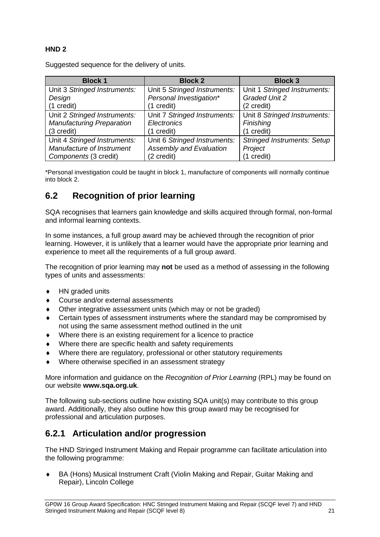### **HND 2**

Suggested sequence for the delivery of units.

| <b>Block 1</b>                   | <b>Block 2</b>                 | <b>Block 3</b>                     |
|----------------------------------|--------------------------------|------------------------------------|
| Unit 3 Stringed Instruments:     | Unit 5 Stringed Instruments:   | Unit 1 Stringed Instruments:       |
| Design                           | Personal Investigation*        | <b>Graded Unit 2</b>               |
| (1 credit)                       | (1 credit)                     | (2 credit)                         |
| Unit 2 Stringed Instruments:     | Unit 7 Stringed Instruments:   | Unit 8 Stringed Instruments:       |
| <b>Manufacturing Preparation</b> | Electronics                    | Finishing                          |
| (3 credit)                       | (1 credit)                     | (1 credit)                         |
| Unit 4 Stringed Instruments:     | Unit 6 Stringed Instruments:   | <b>Stringed Instruments: Setup</b> |
| Manufacture of Instrument        | <b>Assembly and Evaluation</b> | Project                            |
| Components (3 credit)            | (2 credit)                     | (1 credit)                         |

\*Personal investigation could be taught in block 1, manufacture of components will normally continue into block 2.

## <span id="page-22-0"></span>**6.2 Recognition of prior learning**

SQA recognises that learners gain knowledge and skills acquired through formal, non-formal and informal learning contexts.

In some instances, a full group award may be achieved through the recognition of prior learning. However, it is unlikely that a learner would have the appropriate prior learning and experience to meet all the requirements of a full group award.

The recognition of prior learning may **not** be used as a method of assessing in the following types of units and assessments:

- ◆ HN graded units
- Course and/or external assessments
- Other integrative assessment units (which may or not be graded)
- Certain types of assessment instruments where the standard may be compromised by not using the same assessment method outlined in the unit
- Where there is an existing requirement for a licence to practice
- Where there are specific health and safety requirements
- Where there are regulatory, professional or other statutory requirements
- Where otherwise specified in an assessment strategy

More information and guidance on the *Recognition of Prior Learning* (RPL) may be found on our website **[www.sqa.org.uk](http://www.sqa.org.uk/)**.

The following sub-sections outline how existing SQA unit(s) may contribute to this group award. Additionally, they also outline how this group award may be recognised for professional and articulation purposes.

### **6.2.1 Articulation and/or progression**

The HND Stringed Instrument Making and Repair programme can facilitate articulation into the following programme:

 BA (Hons) Musical Instrument Craft (Violin Making and Repair, Guitar Making and Repair), Lincoln College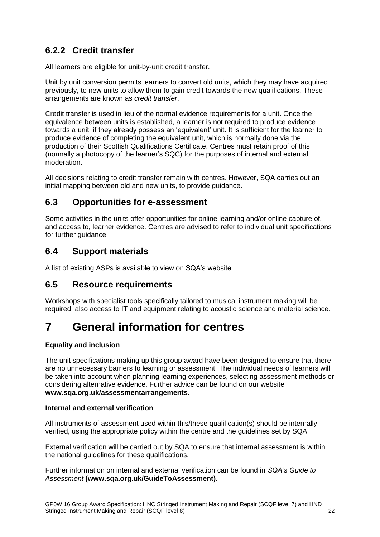## **6.2.2 Credit transfer**

All learners are eligible for unit-by-unit credit transfer.

Unit by unit conversion permits learners to convert old units, which they may have acquired previously, to new units to allow them to gain credit towards the new qualifications. These arrangements are known as *credit transfer*.

Credit transfer is used in lieu of the normal evidence requirements for a unit. Once the equivalence between units is established, a learner is not required to produce evidence towards a unit, if they already possess an 'equivalent' unit. It is sufficient for the learner to produce evidence of completing the equivalent unit, which is normally done via the production of their Scottish Qualifications Certificate. Centres must retain proof of this (normally a photocopy of the learner's SQC) for the purposes of internal and external moderation.

All decisions relating to credit transfer remain with centres. However, SQA carries out an initial mapping between old and new units, to provide guidance.

### <span id="page-23-0"></span>**6.3 Opportunities for e-assessment**

Some activities in the units offer opportunities for online learning and/or online capture of, and access to, learner evidence. Centres are advised to refer to individual unit specifications for further quidance.

### <span id="page-23-1"></span>**6.4 Support materials**

A [list of existing ASPs](http://www.sqa.org.uk/sqa/46233.2769.html) is available to view on SQA's website.

### <span id="page-23-2"></span>**6.5 Resource requirements**

Workshops with specialist tools specifically tailored to musical instrument making will be required, also access to IT and equipment relating to acoustic science and material science.

## <span id="page-23-3"></span>**7 General information for centres**

#### **Equality and inclusion**

The unit specifications making up this group award have been designed to ensure that there are no unnecessary barriers to learning or assessment. The individual needs of learners will be taken into account when planning learning experiences, selecting assessment methods or considering alternative evidence. Further advice can be found on our website **[www.sqa.org.uk/assessmentarrangements](http://www.sqa.org.uk/sqa/14977.html)**.

#### **Internal and external verification**

All instruments of assessment used within this/these qualification(s) should be internally verified, using the appropriate policy within the centre and the guidelines set by SQA.

External verification will be carried out by SQA to ensure that internal assessment is within the national guidelines for these qualifications.

Further information on internal and external verification can be found in *SQA's Guide to Assessment* **[\(www.sqa.org.uk/GuideToAssessment\)](http://www.sqa.org.uk/sqa/files_ccc/GuideToAssessment.pdf)**.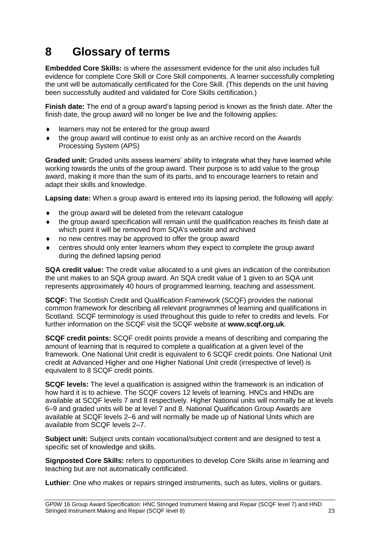## <span id="page-24-0"></span>**8 Glossary of terms**

**Embedded Core Skills:** is where the assessment evidence for the unit also includes full evidence for complete Core Skill or Core Skill components. A learner successfully completing the unit will be automatically certificated for the Core Skill. (This depends on the unit having been successfully audited and validated for Core Skills certification.)

**Finish date:** The end of a group award's lapsing period is known as the finish date. After the finish date, the group award will no longer be live and the following applies:

- learners may not be entered for the group award
- the group award will continue to exist only as an archive record on the Awards Processing System (APS)

**Graded unit:** Graded units assess learners' ability to integrate what they have learned while working towards the units of the group award. Their purpose is to add value to the group award, making it more than the sum of its parts, and to encourage learners to retain and adapt their skills and knowledge.

**Lapsing date:** When a group award is entered into its lapsing period, the following will apply:

- the group award will be deleted from the relevant catalogue
- $\bullet$  the group award specification will remain until the qualification reaches its finish date at which point it will be removed from SQA's website and archived
- no new centres may be approved to offer the group award
- centres should only enter learners whom they expect to complete the group award during the defined lapsing period

**SQA credit value:** The credit value allocated to a unit gives an indication of the contribution the unit makes to an SQA group award. An SQA credit value of 1 given to an SQA unit represents approximately 40 hours of programmed learning, teaching and assessment.

**SCQF:** The Scottish Credit and Qualification Framework (SCQF) provides the national common framework for describing all relevant programmes of learning and qualifications in Scotland. SCQF terminology is used throughout this guide to refer to credits and levels. For further information on the SCQF visit the SCQF website at **[www.scqf.org.uk](http://www.scqf.org.uk/)**.

**SCQF credit points:** SCQF credit points provide a means of describing and comparing the amount of learning that is required to complete a qualification at a given level of the framework. One National Unit credit is equivalent to 6 SCQF credit points. One National Unit credit at Advanced Higher and one Higher National Unit credit (irrespective of level) is equivalent to 8 SCQF credit points.

**SCQF levels:** The level a qualification is assigned within the framework is an indication of how hard it is to achieve. The SCQF covers 12 levels of learning. HNCs and HNDs are available at SCQF levels 7 and 8 respectively. Higher National units will normally be at levels 6–9 and graded units will be at level 7 and 8. National Qualification Group Awards are available at SCQF levels 2–6 and will normally be made up of National Units which are available from SCQF levels 2–7.

**Subject unit:** Subject units contain vocational/subject content and are designed to test a specific set of knowledge and skills.

**Signposted Core Skills:** refers to opportunities to develop Core Skills arise in learning and teaching but are not automatically certificated.

**Luthier**: One who makes or repairs stringed instruments, such as lutes, violins or guitars.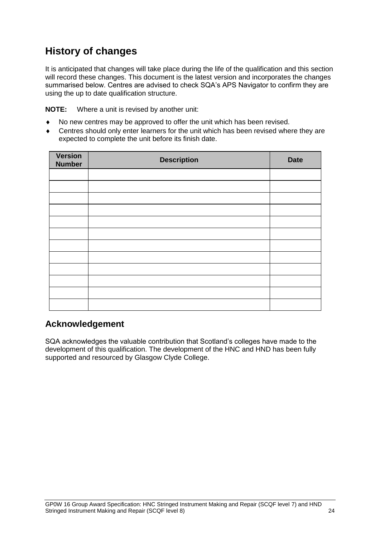## **History of changes**

It is anticipated that changes will take place during the life of the qualification and this section will record these changes. This document is the latest version and incorporates the changes summarised below. Centres are advised to check SQA's APS Navigator to confirm they are using the up to date qualification structure.

**NOTE:** Where a unit is revised by another unit:

- No new centres may be approved to offer the unit which has been revised.
- Centres should only enter learners for the unit which has been revised where they are expected to complete the unit before its finish date.

| <b>Version</b><br><b>Number</b> | <b>Description</b> | <b>Date</b> |
|---------------------------------|--------------------|-------------|
|                                 |                    |             |
|                                 |                    |             |
|                                 |                    |             |
|                                 |                    |             |
|                                 |                    |             |
|                                 |                    |             |
|                                 |                    |             |
|                                 |                    |             |
|                                 |                    |             |
|                                 |                    |             |
|                                 |                    |             |
|                                 |                    |             |

## **Acknowledgement**

SQA acknowledges the valuable contribution that Scotland's colleges have made to the development of this qualification. The development of the HNC and HND has been fully supported and resourced by Glasgow Clyde College.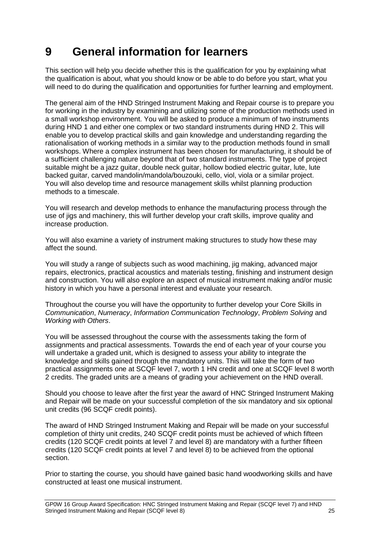## <span id="page-26-0"></span>**9 General information for learners**

This section will help you decide whether this is the qualification for you by explaining what the qualification is about, what you should know or be able to do before you start, what you will need to do during the qualification and opportunities for further learning and employment.

The general aim of the HND Stringed Instrument Making and Repair course is to prepare you for working in the industry by examining and utilizing some of the production methods used in a small workshop environment. You will be asked to produce a minimum of two instruments during HND 1 and either one complex or two standard instruments during HND 2. This will enable you to develop practical skills and gain knowledge and understanding regarding the rationalisation of working methods in a similar way to the production methods found in small workshops. Where a complex instrument has been chosen for manufacturing, it should be of a sufficient challenging nature beyond that of two standard instruments. The type of project suitable might be a jazz guitar, double neck guitar, hollow bodied electric guitar, lute, lute backed guitar, carved mandolin/mandola/bouzouki, cello, viol, viola or a similar project. You will also develop time and resource management skills whilst planning production methods to a timescale.

You will research and develop methods to enhance the manufacturing process through the use of jigs and machinery, this will further develop your craft skills, improve quality and increase production.

You will also examine a variety of instrument making structures to study how these may affect the sound.

You will study a range of subjects such as wood machining, jig making, advanced major repairs, electronics, practical acoustics and materials testing, finishing and instrument design and construction. You will also explore an aspect of musical instrument making and/or music history in which you have a personal interest and evaluate your research.

Throughout the course you will have the opportunity to further develop your Core Skills in *Communication*, *Numeracy*, *Information Communication Technology*, *Problem Solving* and *Working with Others*.

You will be assessed throughout the course with the assessments taking the form of assignments and practical assessments. Towards the end of each year of your course you will undertake a graded unit, which is designed to assess your ability to integrate the knowledge and skills gained through the mandatory units. This will take the form of two practical assignments one at SCQF level 7, worth 1 HN credit and one at SCQF level 8 worth 2 credits. The graded units are a means of grading your achievement on the HND overall.

Should you choose to leave after the first year the award of HNC Stringed Instrument Making and Repair will be made on your successful completion of the six mandatory and six optional unit credits (96 SCQF credit points).

The award of HND Stringed Instrument Making and Repair will be made on your successful completion of thirty unit credits, 240 SCQF credit points must be achieved of which fifteen credits (120 SCQF credit points at level 7 and level 8) are mandatory with a further fifteen credits (120 SCQF credit points at level 7 and level 8) to be achieved from the optional section.

Prior to starting the course, you should have gained basic hand woodworking skills and have constructed at least one musical instrument.